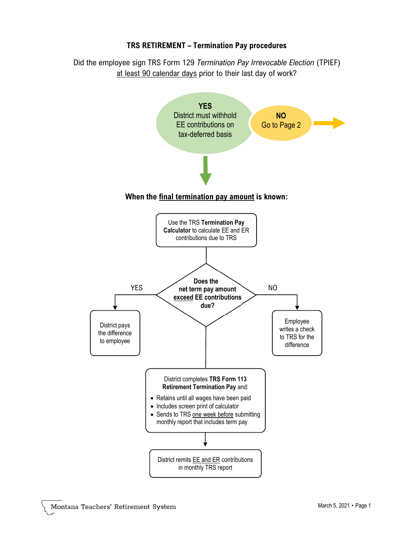## TRS RETIREMENT – Termination Pay procedures

Did the employee sign TRS Form 129 Termination Pay Irrevocable Election (TPIEF) at least 90 calendar days prior to their last day of work?



## When the final termination pay amount is known: